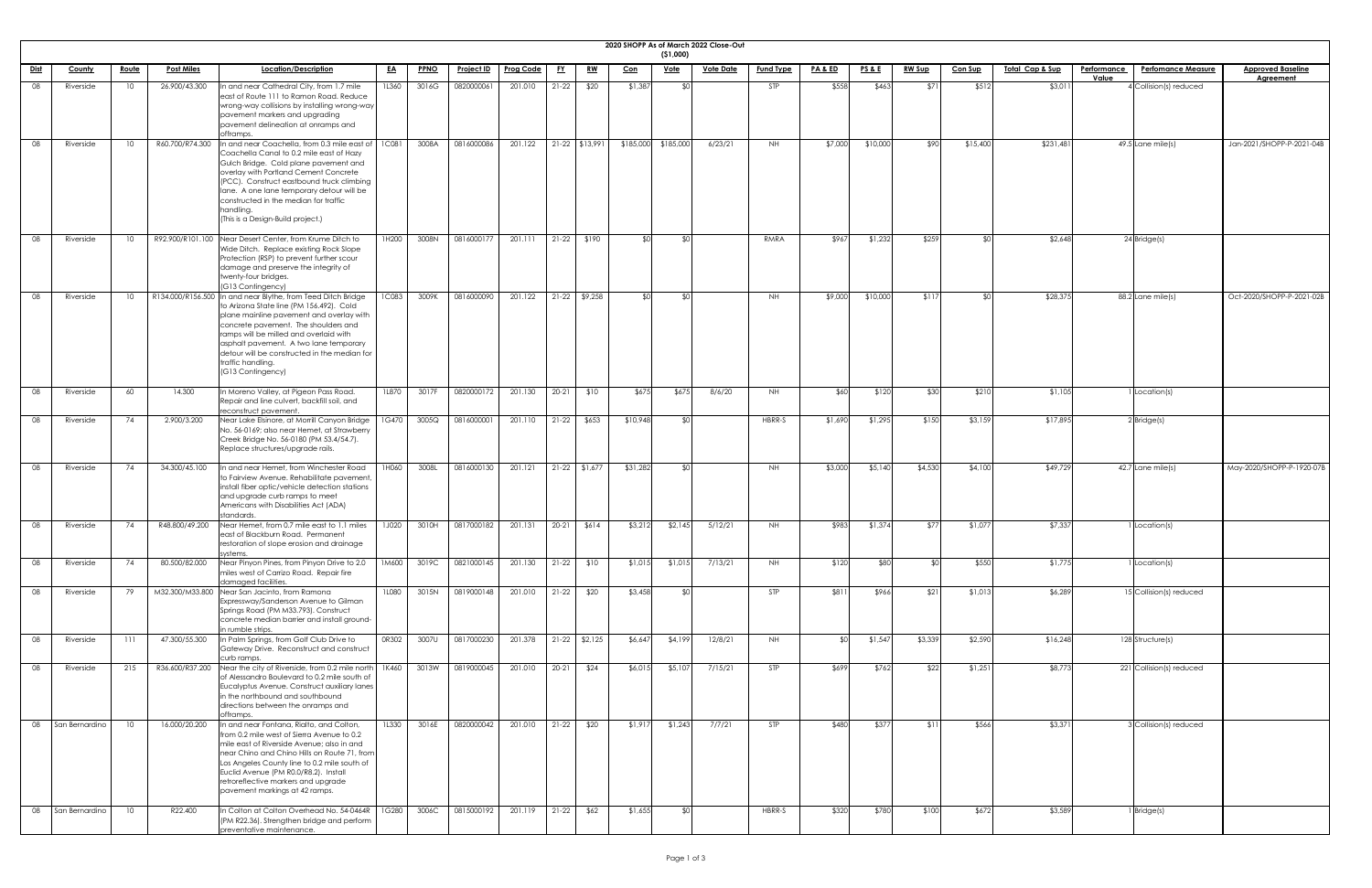|             | 2020 SHOPP As of March 2022 Close-Out<br>(51,000) |                 |                   |                                                                                                                                                                                                                                                                                                                                                                            |              |             |                   |                  |           |                 |           |             |                  |                  |                    |                 |               |                |                            |             |                           |                           |
|-------------|---------------------------------------------------|-----------------|-------------------|----------------------------------------------------------------------------------------------------------------------------------------------------------------------------------------------------------------------------------------------------------------------------------------------------------------------------------------------------------------------------|--------------|-------------|-------------------|------------------|-----------|-----------------|-----------|-------------|------------------|------------------|--------------------|-----------------|---------------|----------------|----------------------------|-------------|---------------------------|---------------------------|
| <u>Dist</u> | <b>County</b>                                     | <u>Route</u>    | <b>Post Miles</b> | Location/Description                                                                                                                                                                                                                                                                                                                                                       | <u>EA</u>    | <b>PPNO</b> | <b>Project ID</b> | <b>Prog Code</b> | <u>FY</u> | <u>RW</u>       | $Con$     | <u>Vote</u> | <b>Vote Date</b> | <b>Fund Type</b> | <u>PA &amp; ED</u> | <b>PS&amp;E</b> | <u>RW Sup</u> | <b>Con Sup</b> | <u>Total Cap &amp; Sup</u> | Performance | <b>Perfomance Measure</b> | <b>Approved Baseline</b>  |
| 08          | Riverside                                         | 10              | 26.900/43.300     | In and near Cathedral City, from 1.7 mile<br>east of Route 111 to Ramon Road. Reduce<br>wrong-way collisions by installing wrong-way<br>pavement markers and upgrading<br>pavement delineation at onramps and<br>offramps.                                                                                                                                                 | <b>1L360</b> | 3016G       | 0820000061        | 201.010          | $21-22$   | \$20            | \$1,387   |             |                  | <b>STP</b>       | \$558              | \$463           | \$71          | \$512          | \$3,01                     | Value       | 4 Collision(s) reduced    | <b>Agreement</b>          |
| 08          | Riverside                                         | 10              | R60.700/R74.300   | In and near Coachella, from 0.3 mile east of   1C081<br>Coachella Canal to 0.2 mile east of Hazy<br>Gulch Bridge. Cold plane pavement and<br>overlay with Portland Cement Concrete<br>(PCC). Construct eastbound truck climbing<br>lane. A one lane temporary detour will be<br>constructed in the median for traffic<br>handling.<br>(This is a Design-Build project.)    |              | 3008A       | 0816000086        | 201.122          |           | 21-22 \$13,991  | \$185,000 | \$185,000   | 6/23/21          | NH .             | \$7,000            | \$10,000        | \$90          | \$15,400       | \$231,481                  |             | $49.5$ Lane mile(s)       | Jan-2021/SHOPP-P-2021-04B |
| -08         | Riverside                                         | 10 <sup>°</sup> |                   | R92.900/R101.100 Near Desert Center, from Krume Ditch to<br>Wide Ditch. Replace existing Rock Slope<br>Protection (RSP) to prevent further scour<br>damage and preserve the integrity of<br>twenty-four bridges.<br>(G13 Contingency)                                                                                                                                      | 1H200        | 3008N       | 0816000177        | 201.111          |           | $21-22$ \$190   | ו∩≯       |             |                  | RMRA             | \$967              | \$1,232         | \$259         |                | \$2,648                    |             | 24 Bridge(s)              |                           |
| -08         | Riverside                                         | 10 <sup>°</sup> |                   | R134.000/R156.500 In and near Blythe, from Teed Ditch Bridge<br>to Arizona State line (PM 156.492). Cold<br>plane mainline pavement and overlay with<br>concrete pavement. The shoulders and<br>ramps will be milled and overlaid with<br>asphalt pavement. A two lane temporary<br>detour will be constructed in the median for<br>traffic handling.<br>(G13 Contingency) | <b>1C083</b> | 3009K       | 0816000090        | 201.122          |           | $21-22$ \$9,258 |           |             |                  | NH .             | \$9,000            | \$10,000        | \$11          |                | \$28,375                   |             | $88.2$ Lane mile(s)       | Oct-2020/SHOPP-P-2021-02B |
| 08          | Riverside                                         | 60              | 14.300            | In Moreno Valley, at Pigeon Pass Road.<br>Repair and line culvert, backfill soil, and<br>reconstruct pavement.                                                                                                                                                                                                                                                             | 1L870        | 3017F       | 0820000172        | 201.130          | $20-21$   | \$10            | \$675     | \$675       | 8/6/20           | NH .             | \$60               | \$120           | \$30          | \$210          | \$1,105                    |             | I Location(s)             |                           |
| 08          | Riverside                                         | 74              | 2.900/3.200       | Near Lake Elsinore, at Morrill Canyon Bridge<br>No. 56-0169; also near Hemet, at Strawberry<br>Creek Bridge No. 56-0180 (PM 53.4/54.7).<br>Replace structures/upgrade rails.                                                                                                                                                                                               | 1G470        | 3005Q       | 0816000001        | 201.110          |           | $21-22$ \$653   | \$10,948  |             |                  | HBRR-S           | \$1,690            | \$1,295         | \$150         | \$3,159        | \$17,895                   |             | $2$ Bridge(s)             |                           |
| 08          | Riverside                                         | 74              | 34.300/45.100     | In and near Hemet, from Winchester Road<br>to Fairview Avenue. Rehabilitate pavement,<br>install fiber optic/vehicle detection stations<br>and upgrade curb ramps to meet<br>Americans with Disabilities Act (ADA)<br>standards                                                                                                                                            | 1H060        | 3008L       | 0816000130        | 201.121          |           | $21-22$ \$1,677 | \$31,282  |             |                  | NH.              | \$3,000            | \$5,140         | \$4,530       | \$4,100        | \$49,729                   |             | $42.7$ Lane mile(s)       | May-2020/SHOPP-P-1920-07B |
| 08          | Riverside                                         | 74              | R48.800/49.200    | Near Hemet, from 0.7 mile east to 1.1 miles<br>east of Blackburn Road. Permanent<br>restoration of slope erosion and drainage<br>systems.                                                                                                                                                                                                                                  | <b>1J020</b> | 3010H       | 0817000182        | 201.131          | $20 - 21$ | \$614           | \$3,212   | \$2,145     | 5/12/21          | NH.              | \$983              | \$1,374         | \$77          | \$1,077        | \$7,337                    |             | Location(s)               |                           |
| 08          | Riverside                                         | 74              | 80.500/82.000     | Near Pinyon Pines, from Pinyon Drive to 2.0<br>miles west of Carrizo Road. Repair fire<br>damaged facilities.                                                                                                                                                                                                                                                              | <b>1M600</b> | 3019C       | 0821000145        | 201.130          | $21-22$   | \$10            | \$1,015   | \$1,015     | 7/13/21          | NH .             | \$120              | \$80            |               | \$550          | \$1,775                    |             | Location(s)               |                           |
| 08          | Riverside                                         | 79              |                   | M32.300/M33.800 Near San Jacinto, from Ramona<br>Expressway/Sanderson Avenue to Gilman<br>Springs Road (PM M33.793). Construct<br>concrete median barrier and install ground-<br>in rumble strips.                                                                                                                                                                         | 1L080        | 3015N       | 0819000148        | 201.010          | $21-22$   | \$20            | \$3,458   |             |                  | STP              | \$811              | \$966           | \$21          | \$1,013        | \$6,289                    |             | 15 Collision(s) reduced   |                           |
| 08          | Riverside                                         | 111             | 47.300/55.300     | In Palm Springs, from Golf Club Drive to<br>Gateway Drive. Reconstruct and construct<br>curb ramps.                                                                                                                                                                                                                                                                        | OR302        | 3007U       | 0817000230        | 201.378          |           | $21-22$ \$2,125 | \$6,64]   | \$4,199     | 12/8/21          | NH.              | ¶∩≵                | \$1,54          | \$3,339       | \$2,590        | \$16,248                   |             | 128 Structure(s)          |                           |
| 08          | Riverside                                         | 215             | R36.600/R37.200   | Near the city of Riverside, from 0.2 mile north<br>of Alessandro Boulevard to 0.2 mile south of<br>Eucalyptus Avenue. Construct auxiliary lanes<br>in the northbound and southbound<br>directions between the onramps and<br>offramps.                                                                                                                                     | 1K460        | 3013W       | 0819000045        | 201.010          | $20-21$   | \$24            | \$6,015   | \$5,10      | 7/15/21          | <b>STP</b>       | \$699              | \$762           | \$22          | \$1,251        | \$8,773                    |             | 221 Collision(s) reduced  |                           |
| 08          | San Bernardino                                    | 10              | 16.000/20.200     | In and near Fontana, Rialto, and Colton,<br>from 0.2 mile west of Sierra Avenue to 0.2<br>mile east of Riverside Avenue; also in and<br>near Chino and Chino Hills on Route 71, from<br>Los Angeles County line to 0.2 mile south of<br>Euclid Avenue (PM R0.0/R8.2). Install<br>retroreflective markers and upgrade<br>pavement markings at 42 ramps.                     | 1L330        | 3016E       | 0820000042        | 201.010          | $21-22$   | \$20            | \$1,917   | \$1,243     | 7/7/21           | <b>STP</b>       | \$480              | \$377           | \$11          | \$566          | \$3,371                    |             | 3 Collision(s) reduced    |                           |
| 08          | San Bernardino                                    | 10              | R22.400           | In Colton at Colton Overhead No. 54-0464R<br>(PM R22.36). Strengthen bridge and perform<br>preventative maintenance.                                                                                                                                                                                                                                                       | 1G280        | 3006C       | 0815000192        | 201.119          | $21-22$   | \$62            | \$1,655   |             |                  | HBRR-S           | \$320              | \$780           | \$100         | \$672          | \$3,589                    |             | I Bridge(s)               |                           |

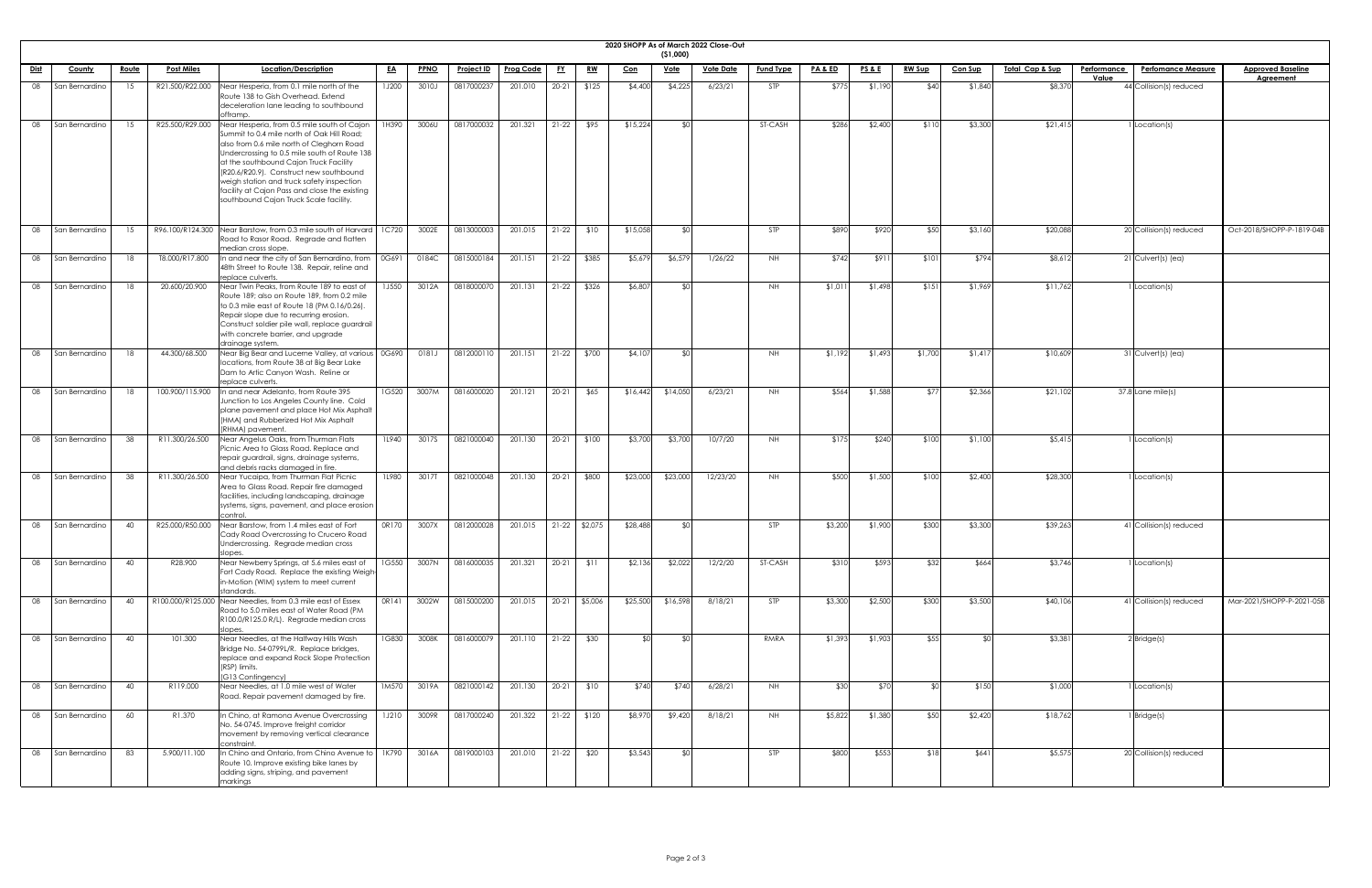| <b>2020 SHOPF</b> |  |
|-------------------|--|

|             |                |              |                   |                                                                                                                                                                                                                                                                             |              |             |                   |                  |           |                 |          | (51,000)    | 2020 SHOPP As of March 2022 Close-Out |                  |                    |                 |               |                |                            |                                          |                           |
|-------------|----------------|--------------|-------------------|-----------------------------------------------------------------------------------------------------------------------------------------------------------------------------------------------------------------------------------------------------------------------------|--------------|-------------|-------------------|------------------|-----------|-----------------|----------|-------------|---------------------------------------|------------------|--------------------|-----------------|---------------|----------------|----------------------------|------------------------------------------|---------------------------|
| <u>Dist</u> | <b>County</b>  | <u>Route</u> | <b>Post Miles</b> | Location/Description                                                                                                                                                                                                                                                        | <u>EA</u>    | <b>PPNO</b> | <b>Project ID</b> | <b>Prog Code</b> | <u>FY</u> | <u>RW</u>       | Con      | <u>Vote</u> | <b>Vote Date</b>                      | <b>Fund Type</b> | <b>PA &amp; ED</b> | <u>PS&amp;E</u> | <b>RW Sup</b> | <b>Con Sup</b> | <u>Total Cap &amp; Sup</u> | <b>Perfomance Measure</b><br>Performance | <b>Approved Baseline</b>  |
| 08          | San Bernardino | 15           | R21.500/R22.000   | Near Hesperia, from 0.1 mile north of the                                                                                                                                                                                                                                   | <b>1J200</b> | 3010J       | 0817000237        | 201.010          | $20-21$   | \$125           | \$4,400  | \$4,225     | 6/23/21                               | <b>STP</b>       | \$775              | \$1,190         | \$40          | \$1,840        | \$8,370                    | Value<br>44 Collision(s) reduced         | <b>Agreement</b>          |
|             |                |              |                   | Route 138 to Gish Overhead. Extend<br>deceleration lane leading to southbound<br>offramp.                                                                                                                                                                                   |              |             |                   |                  |           |                 |          |             |                                       |                  |                    |                 |               |                |                            |                                          |                           |
| 08          | San Bernardino | 15           | R25.500/R29.000   | Near Hesperia, from 0.5 mile south of Cajon<br>Summit to 0.4 mile north of Oak Hill Road;<br>also from 0.6 mile north of Cleghorn Road<br>Undercrossing to 0.5 mile south of Route 138<br>at the southbound Cajon Truck Facility                                            | 1H390        | 3006U       | 0817000032        | 201.321          | $21-22$   | \$95            | \$15,224 |             |                                       | ST-CASH          | \$286              | \$2,400         | \$110         | \$3,300        | \$21,413                   | Location(s)                              |                           |
|             |                |              |                   | (R20.6/R20.9). Construct new southbound<br>weigh station and truck safety inspection<br>facility at Cajon Pass and close the existing<br>southbound Cajon Truck Scale facility.                                                                                             |              |             |                   |                  |           |                 |          |             |                                       |                  |                    |                 |               |                |                            |                                          |                           |
| 08          | San Bernardino | 15           |                   | R96.100/R124.300 Near Barstow, from 0.3 mile south of Harvard<br>Road to Rasor Road. Regrade and flatten<br>median cross slope.                                                                                                                                             | 1C720        | 3002E       | 0813000003        | 201.015          | $21-22$   | \$10            | \$15,058 |             |                                       | <b>STP</b>       | \$890              | \$920           | \$50          | \$3,160        | \$20,088                   | 20 Collision(s) reduced                  | Oct-2018/SHOPP-P-1819-04B |
| 08          | San Bernardino | 18           | T8.000/R17.800    | In and near the city of San Bernardino, from<br>48th Street to Route 138. Repair, reline and<br>replace culverts.                                                                                                                                                           | 0G691        | 0184C       | 0815000184        | 201.151          | $21-22$   | \$385           | \$5,67   | \$6,579     | 1/26/22                               | NH.              | \$742              | \$911           | \$101         | \$794          | \$8,612                    | $21$ Culvert(s) (ea)                     |                           |
| 08          | San Bernardino | 18           | 20.600/20.900     | Near Twin Peaks, from Route 189 to east of<br>Route 189; also on Route 189, from 0.2 mile<br>to 0.3 mile east of Route 18 (PM 0.16/0.26).<br>Repair slope due to recurring erosion.<br>Construct soldier pile wall, replace guardrail<br>with concrete barrier, and upgrade | <b>1J550</b> | 3012A       | 0818000070        | 201.131          | $21-22$   | \$326           | \$6,807  |             |                                       | NH.              | \$1,01             | \$1,498         | \$151         | \$1,969        | \$11,762                   | Location(s)                              |                           |
| 08          | San Bernardino | 18           | 44.300/68.500     | drainage system.<br>Near Big Bear and Lucerne Valley, at various<br>locations, from Route 38 at Big Bear Lake<br>Dam to Artic Canyon Wash. Reline or<br>replace culverts.                                                                                                   | 0G690        | 0181J       | 0812000110        | 201.151          | $21-22$   | \$700           | \$4,10   |             |                                       | NH.              | \$1,192            | \$1,493         | \$1,700       | \$1,417        | \$10,609                   | 31 Culvert(s) (ea)                       |                           |
| 08          | San Bernardino | - 18         | 100.900/115.900   | In and near Adelanto, from Route 395<br>Junction to Los Angeles County line. Cold<br>plane pavement and place Hot Mix Asphalt<br>(HMA) and Rubberized Hot Mix Asphalt<br>(RHMA) pavement.                                                                                   | 1G520        | 3007M       | 0816000020        | 201.121          | $20 - 21$ | \$65            | \$16,442 | \$14,050    | 6/23/21                               | NH.              | \$564              | \$1,588         | \$77          | \$2,366        | \$21,102                   | $37.8$ Lane mile(s)                      |                           |
| 08          | San Bernardino | 38           | R11.300/26.500    | Near Angelus Oaks, from Thurman Flats<br>Picnic Area to Glass Road. Replace and<br>repair guardrail, signs, drainage systems,<br>and debris racks damaged in fire.                                                                                                          | 1L940        | 3017S       | 0821000040        | 201.130          | $20 - 21$ | \$100           | \$3,700  | \$3,700     | 10/7/20                               | NH.              | \$175              | \$240           | \$100         | \$1,100        | \$5,41                     | Location(s)                              |                           |
| 08          | San Bernardino | 38           | R11.300/26.500    | Near Yucaipa, from Thurman Flat Picnic<br>Area to Glass Road. Repair fire damaged<br>facilities, including landscaping, drainage<br>systems, signs, pavement, and place erosion<br>control.                                                                                 | <b>1L980</b> | 3017T       | 0821000048        | 201.130          | $20 - 21$ | \$800           | \$23,000 | \$23,000    | 12/23/20                              | <b>NH</b>        | \$500              | \$1,500         | \$100         | \$2,400        | \$28,300                   | Location(s)                              |                           |
| 08          | San Bernardino | 40           | R25.000/R50.000   | Near Barstow, from 1.4 miles east of Fort<br>Cady Road Overcrossing to Crucero Road<br>Undercrossing. Regrade median cross<br>slopes.                                                                                                                                       | OR170        | 3007X       | 0812000028        | 201.015          |           | $21-22$ \$2,075 | \$28,488 |             |                                       | <b>STP</b>       | \$3,200            | \$1,900         | \$300         | \$3,300        | \$39,263                   | 41 Collision(s) reduced                  |                           |
| 08          | San Bernardino | 40           | R28.900           | Near Newberry Springs, at 5.6 miles east of<br>Fort Cady Road. Replace the existing Weigh-<br>in-Motion (WIM) system to meet current<br>standards.                                                                                                                          | 1G550        | 3007N       | 0816000035        | 201.321          | $20 - 21$ | \$11            | \$2,136  | \$2,022     | 12/2/20                               | <b>ST-CASH</b>   | \$310              | \$593           | \$32          | \$664          | \$3,746                    | Location(s)                              |                           |
| 08          | San Bernardino | 40           |                   | R100.000/R125.000 Near Needles, from 0.3 mile east of Essex<br>Road to 5.0 miles east of Water Road (PM<br>R100.0/R125.0 R/L). Regrade median cross<br>slopes.                                                                                                              | OR141        | 3002W       | 0815000200        | 201.015          |           | 20-21 \$5,006   | \$25,500 | \$16,598    | 8/18/21                               | <b>STP</b>       | \$3,300            | \$2,500         | \$300         | \$3,500        | \$40,106                   | 41 Collision(s) reduced                  | Mar-2021/SHOPP-P-2021-05B |
| 08          | San Bernardino | 40           | 101.300           | Near Needles, at the Halfway Hills Wash<br>Bridge No. 54-0799L/R. Replace bridges,<br>replace and expand Rock Slope Protection<br>(RSP) limits.<br>(G13 Contingency)                                                                                                        | 1G830        | 3008K       | 0816000079        | 201.110          | $21-22$   | \$30            |          |             |                                       | RMRA             | \$1,393            | \$1,903         | \$55          |                | \$3,381                    | $2$ Bridge(s)                            |                           |
| 08          | San Bernardino | - 40         | R119.000          | Near Needles, at 1.0 mile west of Water<br>Road. Repair pavement damaged by fire.                                                                                                                                                                                           | 1M570        | 3019A       | 0821000142        | 201.130          | $20-21$   | \$10            | \$740    | \$740       | 6/28/21                               | NH.              | \$30               | \$70            |               | \$150          | \$1,000                    | Location(s)                              |                           |
| 08          | San Bernardino | 60           | R1.370            | In Chino, at Ramona Avenue Overcrossing<br>No. 54-0745. Improve freight corridor<br>movement by removing vertical clearance<br>constraint.                                                                                                                                  | <b>1J210</b> | 3009R       | 0817000240        | 201.322          |           | $21-22$ \$120   | \$8,970  | \$9,420     | 8/18/21                               | <b>NH</b>        | \$5,822            | \$1,380         | \$50          | \$2,420        | \$18,762                   | Bridge(s)                                |                           |
| 08          | San Bernardino | 83           | 5.900/11.100      | In Chino and Ontario, from Chino Avenue to<br>Route 10. Improve existing bike lanes by<br>adding signs, striping, and pavement<br>markings                                                                                                                                  | 1K790        | 3016A       | 0819000103        | 201.010          | $21-22$   | \$20            | \$3,543  |             |                                       | <b>STP</b>       | \$800              | \$553           | \$18          | \$641          | \$5,575                    | 20 Collision(s) reduced                  |                           |